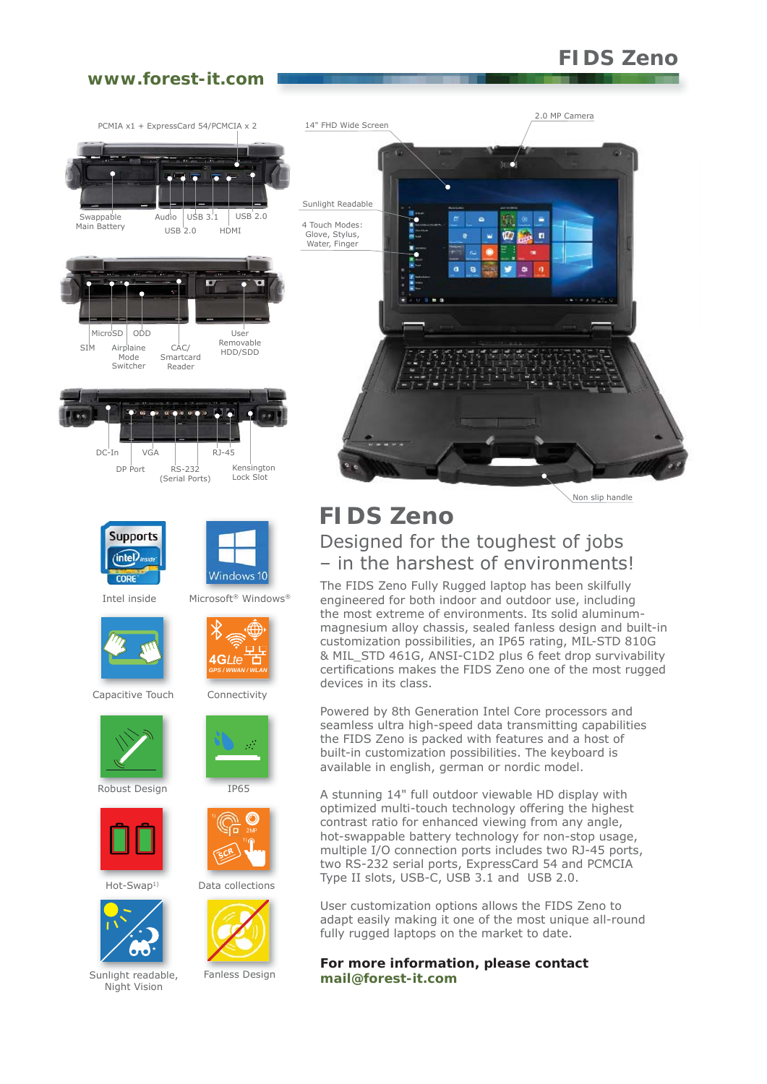# **FIDS Zeno**

2.0 MP Camera

## **www.forest-it.com**



Powered by 8th Generation Intel Core processors and seamless ultra high-speed data transmitting capabilities the FIDS Zeno is packed with features and a host of built-in customization possibilities. The keyboard is available in english, german or nordic model.

A stunning 14" full outdoor viewable HD display with optimized multi-touch technology offering the highest contrast ratio for enhanced viewing from any angle, hot-swappable battery technology for non-stop usage, multiple I/O connection ports includes two RJ-45 ports, two RS-232 serial ports, ExpressCard 54 and PCMCIA Type II slots, USB-C, USB 3.1 and USB 2.0.

User customization options allows the FIDS Zeno to adapt easily making it one of the most unique all-round fully rugged laptops on the market to date.

**For more information, please contact mail@forest-it.com**



Robust Design



Hot-Swap<sup>1)</sup>



Sunlight readable, Fanless Design Night Vision



 $\mathcal{P}_\mathrm{c}$ 

Data collections